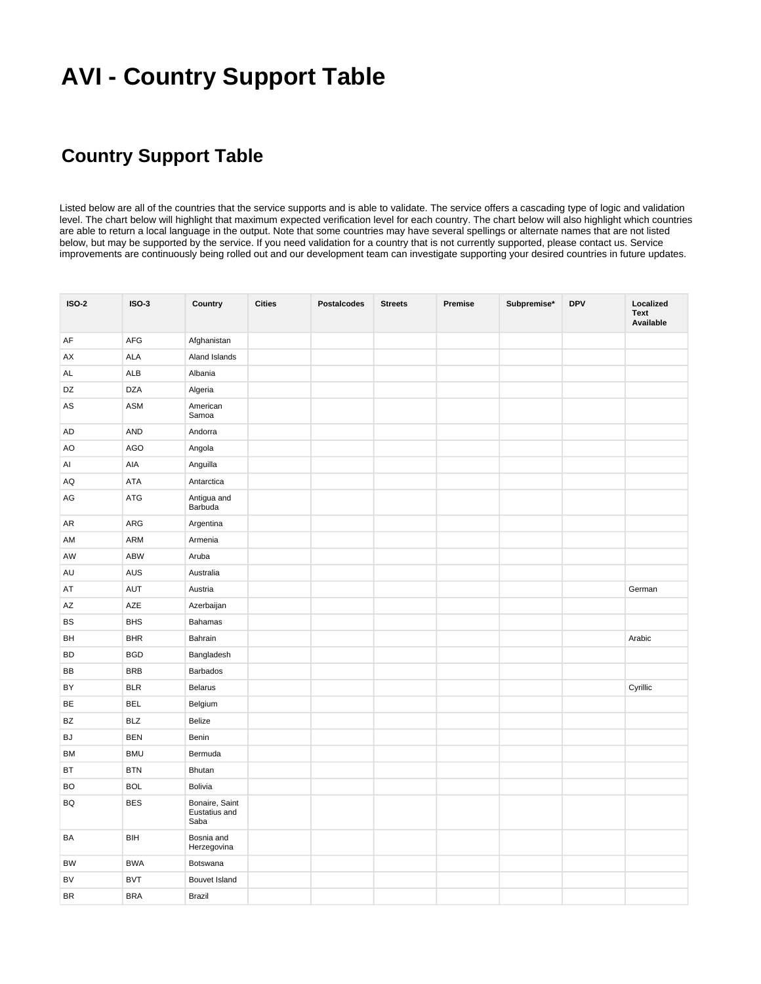## **AVI - Country Support Table**

## **Country Support Table**

Listed below are all of the countries that the service supports and is able to validate. The service offers a cascading type of logic and validation level. The chart below will highlight that maximum expected verification level for each country. The chart below will also highlight which countries are able to return a local language in the output. Note that some countries may have several spellings or alternate names that are not listed below, but may be supported by the service. If you need validation for a country that is not currently supported, please contact us. Service improvements are continuously being rolled out and our development team can investigate supporting your desired countries in future updates.

| <b>ISO-2</b> | <b>ISO-3</b> | Country                                 | <b>Cities</b> | <b>Postalcodes</b> | <b>Streets</b> | Premise | Subpremise* | <b>DPV</b> | Localized<br><b>Text</b><br>Available |
|--------------|--------------|-----------------------------------------|---------------|--------------------|----------------|---------|-------------|------------|---------------------------------------|
| AF           | AFG          | Afghanistan                             |               |                    |                |         |             |            |                                       |
| AX           | ALA          | Aland Islands                           |               |                    |                |         |             |            |                                       |
| AL           | <b>ALB</b>   | Albania                                 |               |                    |                |         |             |            |                                       |
| DZ           | <b>DZA</b>   | Algeria                                 |               |                    |                |         |             |            |                                       |
| AS           | ASM          | American<br>Samoa                       |               |                    |                |         |             |            |                                       |
| AD           | <b>AND</b>   | Andorra                                 |               |                    |                |         |             |            |                                       |
| AO           | <b>AGO</b>   | Angola                                  |               |                    |                |         |             |            |                                       |
| Al           | AIA          | Anguilla                                |               |                    |                |         |             |            |                                       |
| AQ           | <b>ATA</b>   | Antarctica                              |               |                    |                |         |             |            |                                       |
| AG           | ATG          | Antigua and<br>Barbuda                  |               |                    |                |         |             |            |                                       |
| AR           | ARG          | Argentina                               |               |                    |                |         |             |            |                                       |
| AM           | ARM          | Armenia                                 |               |                    |                |         |             |            |                                       |
| AW           | <b>ABW</b>   | Aruba                                   |               |                    |                |         |             |            |                                       |
| AU           | AUS          | Australia                               |               |                    |                |         |             |            |                                       |
| AT           | AUT          | Austria                                 |               |                    |                |         |             |            | German                                |
| AZ           | AZE          | Azerbaijan                              |               |                    |                |         |             |            |                                       |
| BS           | <b>BHS</b>   | Bahamas                                 |               |                    |                |         |             |            |                                       |
| BH           | <b>BHR</b>   | Bahrain                                 |               |                    |                |         |             |            | Arabic                                |
| <b>BD</b>    | <b>BGD</b>   | Bangladesh                              |               |                    |                |         |             |            |                                       |
| BB           | <b>BRB</b>   | Barbados                                |               |                    |                |         |             |            |                                       |
| BY           | <b>BLR</b>   | <b>Belarus</b>                          |               |                    |                |         |             |            | Cyrillic                              |
| BE           | <b>BEL</b>   | Belgium                                 |               |                    |                |         |             |            |                                       |
| BZ           | <b>BLZ</b>   | Belize                                  |               |                    |                |         |             |            |                                       |
| BJ           | <b>BEN</b>   | Benin                                   |               |                    |                |         |             |            |                                       |
| BM           | <b>BMU</b>   | Bermuda                                 |               |                    |                |         |             |            |                                       |
| BT           | <b>BTN</b>   | Bhutan                                  |               |                    |                |         |             |            |                                       |
| BO           | <b>BOL</b>   | Bolivia                                 |               |                    |                |         |             |            |                                       |
| <b>BQ</b>    | <b>BES</b>   | Bonaire, Saint<br>Eustatius and<br>Saba |               |                    |                |         |             |            |                                       |
| BA           | BIH          | Bosnia and<br>Herzegovina               |               |                    |                |         |             |            |                                       |
| BW           | <b>BWA</b>   | Botswana                                |               |                    |                |         |             |            |                                       |
| BV           | <b>BVT</b>   | Bouvet Island                           |               |                    |                |         |             |            |                                       |
| BR           | <b>BRA</b>   | Brazil                                  |               |                    |                |         |             |            |                                       |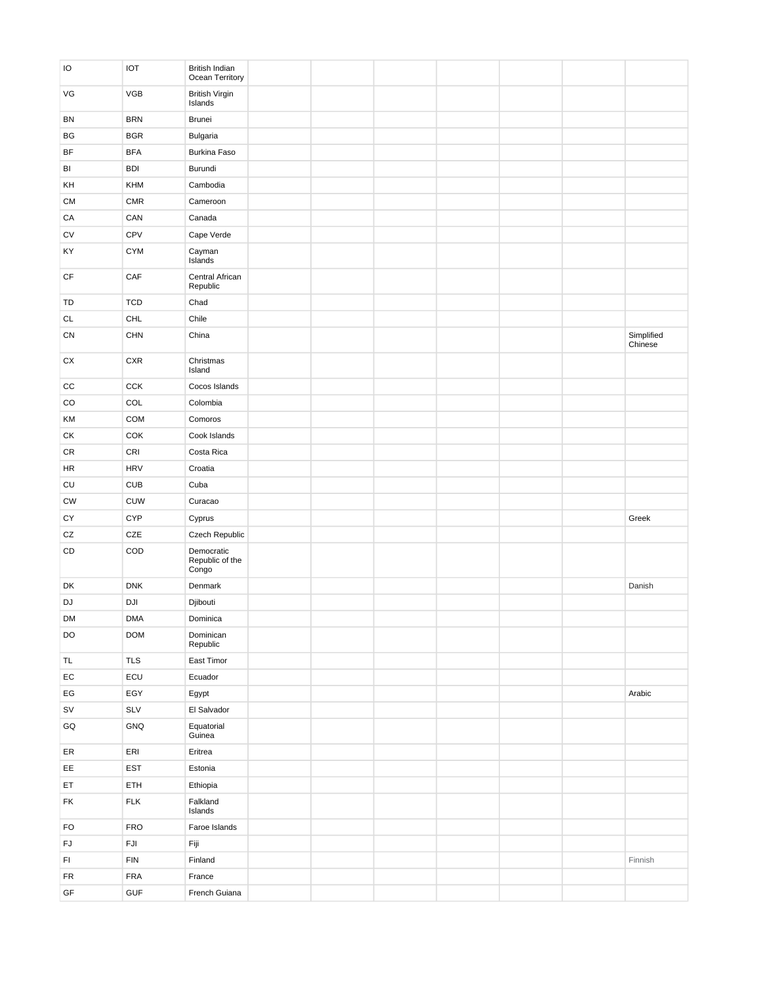| IO                            | <b>IOT</b>     | British Indian<br>Ocean Territory      |  |  |  |            |
|-------------------------------|----------------|----------------------------------------|--|--|--|------------|
| VG                            | <b>VGB</b>     | <b>British Virgin</b><br>Islands       |  |  |  |            |
| BN                            | <b>BRN</b>     | Brunei                                 |  |  |  |            |
| BG                            | <b>BGR</b>     | Bulgaria                               |  |  |  |            |
| BF                            | <b>BFA</b>     | Burkina Faso                           |  |  |  |            |
| BI                            | <b>BDI</b>     | Burundi                                |  |  |  |            |
| KH                            | KHM            | Cambodia                               |  |  |  |            |
| CM                            | <b>CMR</b>     | Cameroon                               |  |  |  |            |
| CA                            | CAN            | Canada                                 |  |  |  |            |
| CV                            | CPV            | Cape Verde                             |  |  |  |            |
| KY                            | <b>CYM</b>     | Cayman<br>Islands                      |  |  |  |            |
| CF                            | CAF            | Central African<br>Republic            |  |  |  |            |
| TD                            | <b>TCD</b>     | Chad                                   |  |  |  |            |
| $\mathsf{CL}$                 | <b>CHL</b>     | Chile                                  |  |  |  |            |
| CN                            | <b>CHN</b>     | China                                  |  |  |  | Simplified |
|                               |                |                                        |  |  |  | Chinese    |
| ${\sf C} {\sf X}$             | CXR            | Christmas<br>Island                    |  |  |  |            |
| CC                            | CCK            | Cocos Islands                          |  |  |  |            |
| CO                            | COL            | Colombia                               |  |  |  |            |
| KM                            | <b>COM</b>     | Comoros                                |  |  |  |            |
| СK                            | COK            | Cook Islands                           |  |  |  |            |
| CR                            | CRI            | Costa Rica                             |  |  |  |            |
| <b>HR</b>                     | <b>HRV</b>     | Croatia                                |  |  |  |            |
| CU                            | CUB            | Cuba                                   |  |  |  |            |
| <b>CW</b>                     | <b>CUW</b>     | Curacao                                |  |  |  |            |
| CY                            | <b>CYP</b>     | Cyprus                                 |  |  |  | Greek      |
| ${\tt CZ}$                    | CZE            | Czech Republic                         |  |  |  |            |
| CD                            | COD            | Democratic<br>Republic of the<br>Congo |  |  |  |            |
| DK                            | <b>DNK</b>     | Denmark                                |  |  |  | Danish     |
| DJ                            | DJI            | Djibouti                               |  |  |  |            |
| DM                            | <b>DMA</b>     | Dominica                               |  |  |  |            |
| DO                            | <b>DOM</b>     | Dominican<br>Republic                  |  |  |  |            |
| TL                            | <b>TLS</b>     | East Timor                             |  |  |  |            |
| $\mathsf{EC}$                 | $\mathsf{ECU}$ | Ecuador                                |  |  |  |            |
| $\mathsf{EG}$                 | EGY            | Egypt                                  |  |  |  | Arabic     |
| $\texttt{SV}$                 | SLV            | El Salvador                            |  |  |  |            |
| GQ                            | GNQ            | Equatorial<br>Guinea                   |  |  |  |            |
| ER                            | ERI            | Eritrea                                |  |  |  |            |
| EE                            | EST            | Estonia                                |  |  |  |            |
| ET                            | ETH            | Ethiopia                               |  |  |  |            |
| FK                            | ${\sf FLK}$    | Falkland<br>Islands                    |  |  |  |            |
| FO                            | <b>FRO</b>     | Faroe Islands                          |  |  |  |            |
| ${\sf FJ}$                    | $\mathsf{FJI}$ | Fiji                                   |  |  |  |            |
| $\mathsf{Fl}$                 | <b>FIN</b>     | Finland                                |  |  |  | Finnish    |
| FR                            | ${\sf FRA}$    | France                                 |  |  |  |            |
| $\mathsf{GF}% _{\mathcal{F}}$ | ${\sf GUF}$    | French Guiana                          |  |  |  |            |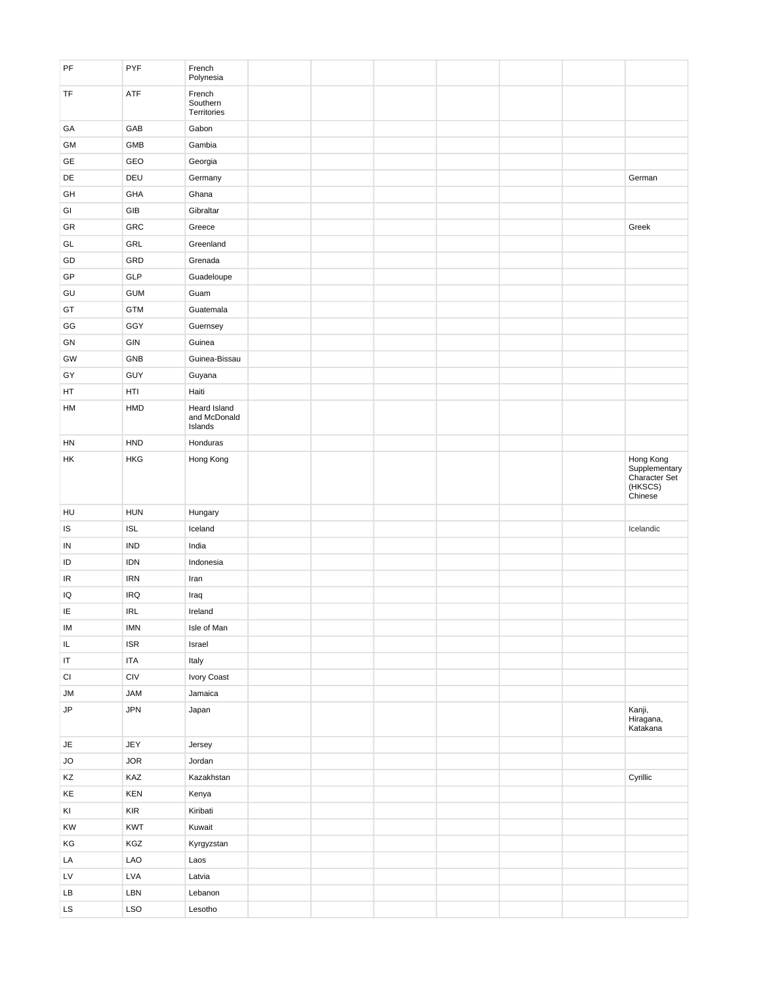| $\ensuremath{\mathsf{PF}}$ | PYF                                                             | French<br>Polynesia               |  |  |  |                                                                          |
|----------------------------|-----------------------------------------------------------------|-----------------------------------|--|--|--|--------------------------------------------------------------------------|
| TF                         | ATF                                                             | French<br>Southern<br>Territories |  |  |  |                                                                          |
| GA                         | GAB                                                             | Gabon                             |  |  |  |                                                                          |
| GM                         | GMB                                                             | Gambia                            |  |  |  |                                                                          |
| GE                         | GEO                                                             | Georgia                           |  |  |  |                                                                          |
| DE                         | DEU                                                             | Germany                           |  |  |  | German                                                                   |
| GH                         | GHA                                                             | Ghana                             |  |  |  |                                                                          |
| GI                         | GIB                                                             | Gibraltar                         |  |  |  |                                                                          |
| GR                         | GRC                                                             | Greece                            |  |  |  | Greek                                                                    |
| GL                         | GRL                                                             | Greenland                         |  |  |  |                                                                          |
| GD                         | GRD                                                             | Grenada                           |  |  |  |                                                                          |
| GP                         | <b>GLP</b>                                                      | Guadeloupe                        |  |  |  |                                                                          |
| GU                         | <b>GUM</b>                                                      | Guam                              |  |  |  |                                                                          |
| GT                         | <b>GTM</b>                                                      | Guatemala                         |  |  |  |                                                                          |
| GG                         | GGY                                                             | Guernsey                          |  |  |  |                                                                          |
| GN                         | GIN                                                             | Guinea                            |  |  |  |                                                                          |
| GW                         | GNB                                                             | Guinea-Bissau                     |  |  |  |                                                                          |
| GY                         | GUY                                                             | Guyana                            |  |  |  |                                                                          |
| HT                         | HTI                                                             | Haiti                             |  |  |  |                                                                          |
| HM                         | HMD                                                             | Heard Island                      |  |  |  |                                                                          |
|                            |                                                                 | and McDonald<br>Islands           |  |  |  |                                                                          |
| HN                         | <b>HND</b>                                                      | Honduras                          |  |  |  |                                                                          |
| HK                         | <b>HKG</b>                                                      | Hong Kong                         |  |  |  | Hong Kong<br>Supplementary<br><b>Character Set</b><br>(HKSCS)<br>Chinese |
| HU                         | <b>HUN</b>                                                      | Hungary                           |  |  |  |                                                                          |
| $\sf IS$                   | <b>ISL</b>                                                      | Iceland                           |  |  |  | Icelandic                                                                |
| IN                         | <b>IND</b>                                                      | India                             |  |  |  |                                                                          |
| ID                         | <b>IDN</b>                                                      | Indonesia                         |  |  |  |                                                                          |
| IR                         | <b>IRN</b>                                                      | Iran                              |  |  |  |                                                                          |
| IQ                         | <b>IRQ</b>                                                      | Iraq                              |  |  |  |                                                                          |
| IE                         | <b>IRL</b>                                                      | Ireland                           |  |  |  |                                                                          |
| IM                         | <b>IMN</b>                                                      | Isle of Man                       |  |  |  |                                                                          |
| $\mathsf{IL}$              | <b>ISR</b>                                                      | Israel                            |  |  |  |                                                                          |
| IT                         | <b>ITA</b>                                                      | Italy                             |  |  |  |                                                                          |
| $\mathsf{C}\mathsf{I}$     | $\ensuremath{\mathsf{C}}\xspace\ensuremath{\mathsf{IV}}\xspace$ | Ivory Coast                       |  |  |  |                                                                          |
| JM                         | <b>JAM</b>                                                      | Jamaica                           |  |  |  |                                                                          |
| JP                         | JPN                                                             | Japan                             |  |  |  | Kanji,<br>Hiragana,<br>Katakana                                          |
| $\mathsf{JE}\xspace$       | JEY                                                             | Jersey                            |  |  |  |                                                                          |
| <b>JO</b>                  | <b>JOR</b>                                                      | Jordan                            |  |  |  |                                                                          |
| KZ                         | KAZ                                                             | Kazakhstan                        |  |  |  | Cyrillic                                                                 |
| KE                         | KEN                                                             | Kenya                             |  |  |  |                                                                          |
| KI                         | KIR                                                             | Kiribati                          |  |  |  |                                                                          |
| KW                         | <b>KWT</b>                                                      | Kuwait                            |  |  |  |                                                                          |
| KG                         | KGZ                                                             | Kyrgyzstan                        |  |  |  |                                                                          |
| LA                         | LAO                                                             | Laos                              |  |  |  |                                                                          |
| LV                         | LVA                                                             | Latvia                            |  |  |  |                                                                          |
| LB                         | LBN                                                             | Lebanon                           |  |  |  |                                                                          |
| $\mathsf{LS}$              | LSO                                                             | Lesotho                           |  |  |  |                                                                          |
|                            |                                                                 |                                   |  |  |  |                                                                          |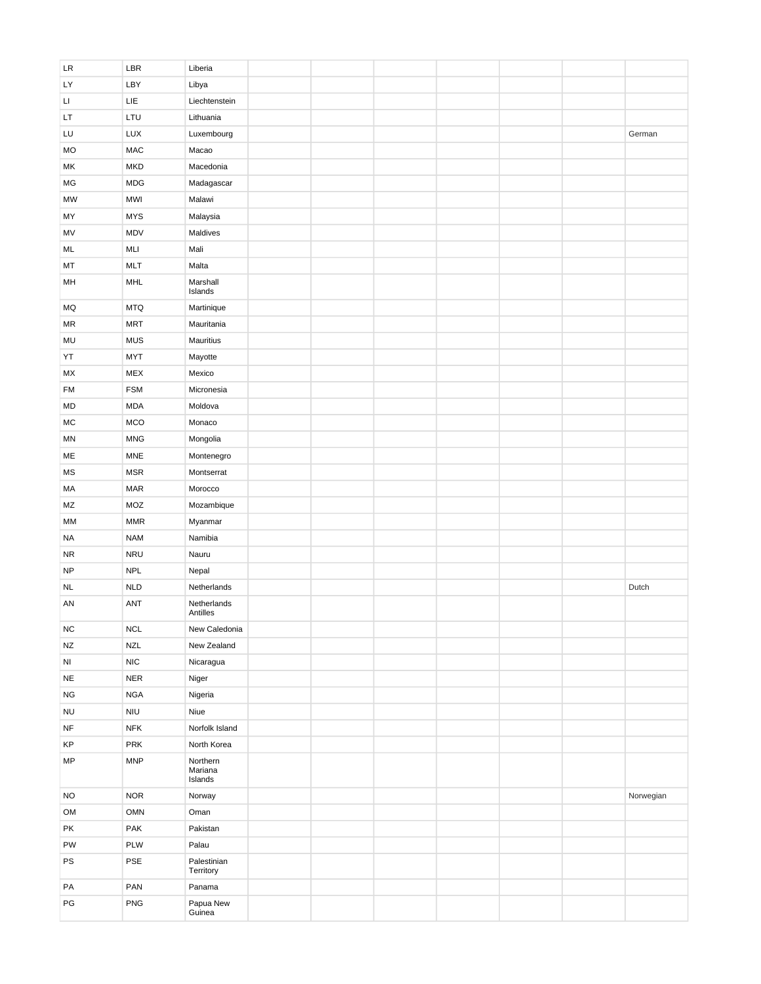| LR        | LBR                         | Liberia                  |  |  |  |           |
|-----------|-----------------------------|--------------------------|--|--|--|-----------|
| LY        | LBY                         | Libya                    |  |  |  |           |
| П         | LIE                         | Liechtenstein            |  |  |  |           |
| LT.       | LTU                         | Lithuania                |  |  |  |           |
| LU        | LUX                         | Luxembourg               |  |  |  | German    |
| <b>MO</b> | <b>MAC</b>                  | Macao                    |  |  |  |           |
| МK        | <b>MKD</b>                  | Macedonia                |  |  |  |           |
| MG        | <b>MDG</b>                  | Madagascar               |  |  |  |           |
| <b>MW</b> | <b>MWI</b>                  | Malawi                   |  |  |  |           |
| MY        | <b>MYS</b>                  | Malaysia                 |  |  |  |           |
| MV        | MDV                         | Maldives                 |  |  |  |           |
| ML        | MLI                         | Mali                     |  |  |  |           |
| MT        | <b>MLT</b>                  | Malta                    |  |  |  |           |
| MH        | MHL                         | Marshall                 |  |  |  |           |
|           |                             | Islands                  |  |  |  |           |
| MQ        | <b>MTQ</b>                  | Martinique               |  |  |  |           |
| MR        | <b>MRT</b>                  | Mauritania               |  |  |  |           |
| MU        | <b>MUS</b>                  | Mauritius                |  |  |  |           |
| YT        | <b>MYT</b>                  | Mayotte                  |  |  |  |           |
| МX        | <b>MEX</b>                  | Mexico                   |  |  |  |           |
| <b>FM</b> | <b>FSM</b>                  | Micronesia               |  |  |  |           |
| MD        | <b>MDA</b>                  | Moldova                  |  |  |  |           |
| MC        | <b>MCO</b>                  | Monaco                   |  |  |  |           |
| ΜN        | <b>MNG</b>                  | Mongolia                 |  |  |  |           |
| ME        | <b>MNE</b>                  | Montenegro               |  |  |  |           |
| <b>MS</b> | <b>MSR</b>                  | Montserrat               |  |  |  |           |
| MA        | <b>MAR</b>                  | Morocco                  |  |  |  |           |
| MZ        | MOZ                         | Mozambique               |  |  |  |           |
| МM        | $\ensuremath{\mathsf{MMR}}$ | Myanmar                  |  |  |  |           |
| NA        | <b>NAM</b>                  | Namibia                  |  |  |  |           |
| <b>NR</b> | <b>NRU</b>                  | Nauru                    |  |  |  |           |
| <b>NP</b> | <b>NPL</b>                  | Nepal                    |  |  |  |           |
|           | <b>NLD</b>                  | Netherlands              |  |  |  | Dutch     |
| <b>NL</b> |                             |                          |  |  |  |           |
| AN        | <b>ANT</b>                  | Netherlands<br>Antilles  |  |  |  |           |
| <b>NC</b> | <b>NCL</b>                  | New Caledonia            |  |  |  |           |
| <b>NZ</b> | <b>NZL</b>                  | New Zealand              |  |  |  |           |
| NI        | NIC                         | Nicaragua                |  |  |  |           |
| <b>NE</b> | <b>NER</b>                  | Niger                    |  |  |  |           |
| <b>NG</b> | <b>NGA</b>                  | Nigeria                  |  |  |  |           |
| <b>NU</b> | $\ensuremath{\mathsf{NIU}}$ | Niue                     |  |  |  |           |
| $\sf{NF}$ | <b>NFK</b>                  | Norfolk Island           |  |  |  |           |
| KP        | PRK                         | North Korea              |  |  |  |           |
| <b>MP</b> | <b>MNP</b>                  | Northern                 |  |  |  |           |
|           |                             | Mariana<br>Islands       |  |  |  |           |
| <b>NO</b> | <b>NOR</b>                  | Norway                   |  |  |  | Norwegian |
| OM        | <b>OMN</b>                  | Oman                     |  |  |  |           |
|           |                             |                          |  |  |  |           |
| PK        | PAK                         | Pakistan                 |  |  |  |           |
| PW        | PLW                         | Palau                    |  |  |  |           |
| PS        | PSE                         | Palestinian<br>Territory |  |  |  |           |
| PA        | PAN                         | Panama                   |  |  |  |           |
| PG        | PNG                         | Papua New                |  |  |  |           |
|           |                             | Guinea                   |  |  |  |           |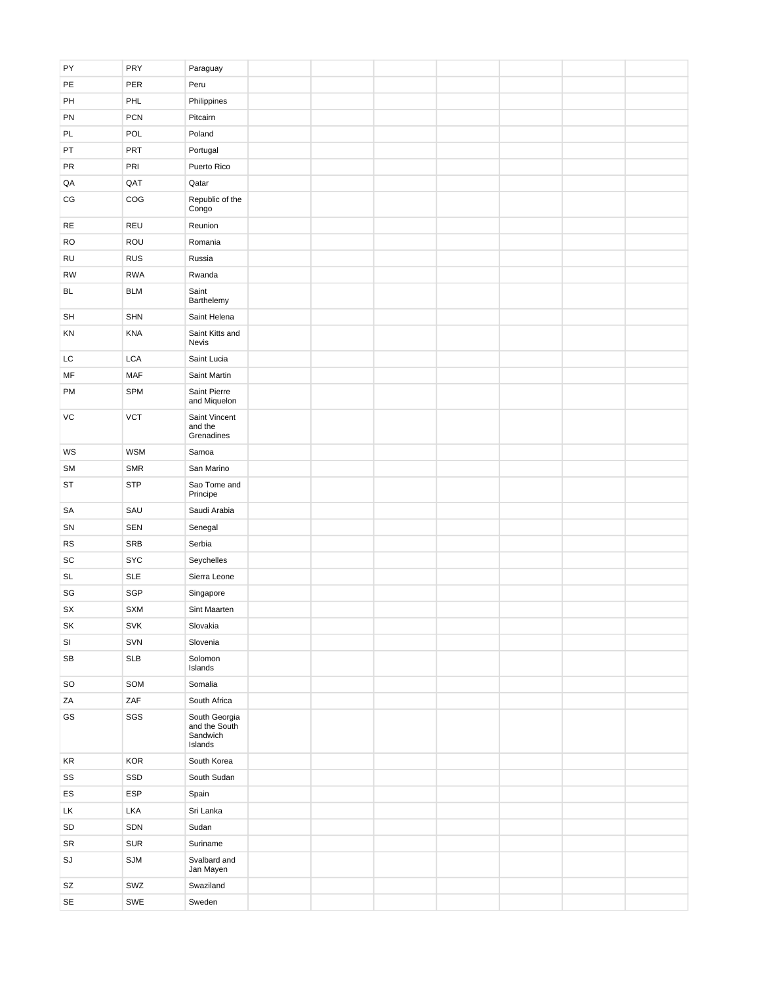| PY                     | PRY        | Paraguay                                              |  |  |  |  |
|------------------------|------------|-------------------------------------------------------|--|--|--|--|
| PE                     | PER        | Peru                                                  |  |  |  |  |
| PH                     | PHL        | Philippines                                           |  |  |  |  |
| PN                     | <b>PCN</b> | Pitcairn                                              |  |  |  |  |
| PL                     | POL        | Poland                                                |  |  |  |  |
| PT                     | PRT        | Portugal                                              |  |  |  |  |
| <b>PR</b>              | PRI        | Puerto Rico                                           |  |  |  |  |
| QA                     | QAT        | Qatar                                                 |  |  |  |  |
| $\mathbb{C}\mathbb{G}$ | COG        | Republic of the<br>Congo                              |  |  |  |  |
| RE                     | REU        | Reunion                                               |  |  |  |  |
| <b>RO</b>              | ROU        | Romania                                               |  |  |  |  |
| RU                     | <b>RUS</b> | Russia                                                |  |  |  |  |
| <b>RW</b>              | <b>RWA</b> | Rwanda                                                |  |  |  |  |
| <b>BL</b>              | <b>BLM</b> | Saint<br>Barthelemy                                   |  |  |  |  |
| SH                     | <b>SHN</b> | Saint Helena                                          |  |  |  |  |
| KN                     | <b>KNA</b> | Saint Kitts and<br>Nevis                              |  |  |  |  |
| LC                     | LCA        | Saint Lucia                                           |  |  |  |  |
| MF                     | <b>MAF</b> | Saint Martin                                          |  |  |  |  |
| PM                     | SPM        | Saint Pierre<br>and Miquelon                          |  |  |  |  |
| VC                     | <b>VCT</b> | Saint Vincent<br>and the<br>Grenadines                |  |  |  |  |
| WS                     | <b>WSM</b> | Samoa                                                 |  |  |  |  |
| <b>SM</b>              | SMR        | San Marino                                            |  |  |  |  |
| <b>ST</b>              | <b>STP</b> | Sao Tome and<br>Principe                              |  |  |  |  |
| SA                     | SAU        | Saudi Arabia                                          |  |  |  |  |
| SN                     | SEN        | Senegal                                               |  |  |  |  |
| <b>RS</b>              | <b>SRB</b> | Serbia                                                |  |  |  |  |
| SC                     | <b>SYC</b> | Seychelles                                            |  |  |  |  |
| SL                     | <b>SLE</b> | Sierra Leone                                          |  |  |  |  |
| SG                     | SGP        | Singapore                                             |  |  |  |  |
| SX                     | <b>SXM</b> | Sint Maarten                                          |  |  |  |  |
| SK                     | <b>SVK</b> | Slovakia                                              |  |  |  |  |
| SI                     | SVN        | Slovenia                                              |  |  |  |  |
| SB                     | <b>SLB</b> | Solomon<br>Islands                                    |  |  |  |  |
| SO                     | SOM        | Somalia                                               |  |  |  |  |
| ZA                     | ZAF        | South Africa                                          |  |  |  |  |
| GS                     | SGS        | South Georgia<br>and the South<br>Sandwich<br>Islands |  |  |  |  |
| KR                     | <b>KOR</b> | South Korea                                           |  |  |  |  |
| SS                     | SSD        | South Sudan                                           |  |  |  |  |
| ES                     | <b>ESP</b> | Spain                                                 |  |  |  |  |
| LK                     | LKA        | Sri Lanka                                             |  |  |  |  |
| SD                     | SDN        | Sudan                                                 |  |  |  |  |
| SR                     | SUR        | Suriname                                              |  |  |  |  |
| SJ                     | SJM        | Svalbard and<br>Jan Mayen                             |  |  |  |  |
| SZ                     | SWZ        | Swaziland                                             |  |  |  |  |
| $\mathsf{SE}$          | SWE        | Sweden                                                |  |  |  |  |